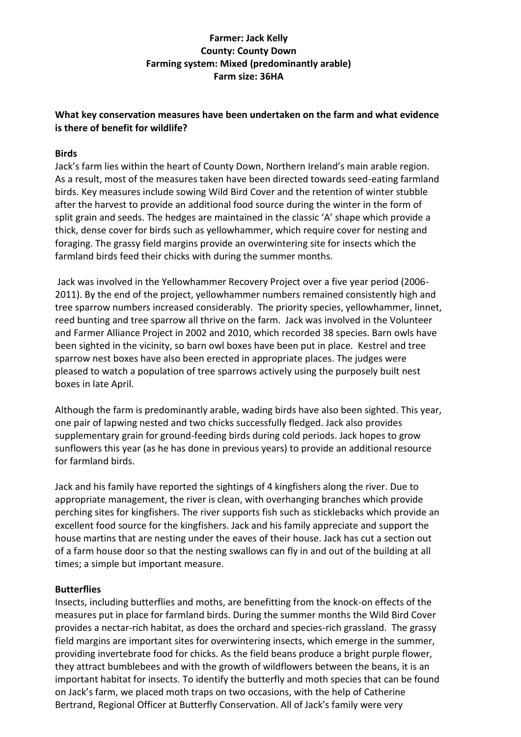# **Farmer: Jack Kelly County: County Down Farming system: Mixed (predominantly arable) Farm size: 36HA**

## **What key conservation measures have been undertaken on the farm and what evidence is there of benefit for wildlife?**

## **Birds**

Jack's farm lies within the heart of County Down, Northern Ireland's main arable region. As a result, most of the measures taken have been directed towards seed-eating farmland birds. Key measures include sowing Wild Bird Cover and the retention of winter stubble after the harvest to provide an additional food source during the winter in the form of split grain and seeds. The hedges are maintained in the classic 'A' shape which provide a thick, dense cover for birds such as yellowhammer, which require cover for nesting and foraging. The grassy field margins provide an overwintering site for insects which the farmland birds feed their chicks with during the summer months.

Jack was involved in the Yellowhammer Recovery Project over a five year period (2006- 2011). By the end of the project, yellowhammer numbers remained consistently high and tree sparrow numbers increased considerably. The priority species, yellowhammer, linnet, reed bunting and tree sparrow all thrive on the farm. Jack was involved in the Volunteer and Farmer Alliance Project in 2002 and 2010, which recorded 38 species. Barn owls have been sighted in the vicinity, so barn owl boxes have been put in place. Kestrel and tree sparrow nest boxes have also been erected in appropriate places. The judges were pleased to watch a population of tree sparrows actively using the purposely built nest boxes in late April.

Although the farm is predominantly arable, wading birds have also been sighted. This year, one pair of lapwing nested and two chicks successfully fledged. Jack also provides supplementary grain for ground-feeding birds during cold periods. Jack hopes to grow sunflowers this year (as he has done in previous years) to provide an additional resource for farmland birds.

Jack and his family have reported the sightings of 4 kingfishers along the river. Due to appropriate management, the river is clean, with overhanging branches which provide perching sites for kingfishers. The river supports fish such as sticklebacks which provide an excellent food source for the kingfishers. Jack and his family appreciate and support the house martins that are nesting under the eaves of their house. Jack has cut a section out of a farm house door so that the nesting swallows can fly in and out of the building at all times; a simple but important measure.

#### **Butterflies**

Insects, including butterflies and moths, are benefitting from the knock-on effects of the measures put in place for farmland birds. During the summer months the Wild Bird Cover provides a nectar-rich habitat, as does the orchard and species-rich grassland. The grassy field margins are important sites for overwintering insects, which emerge in the summer, providing invertebrate food for chicks. As the field beans produce a bright purple flower, they attract bumblebees and with the growth of wildflowers between the beans, it is an important habitat for insects. To identify the butterfly and moth species that can be found on Jack's farm, we placed moth traps on two occasions, with the help of Catherine Bertrand, Regional Officer at Butterfly Conservation. All of Jack's family were very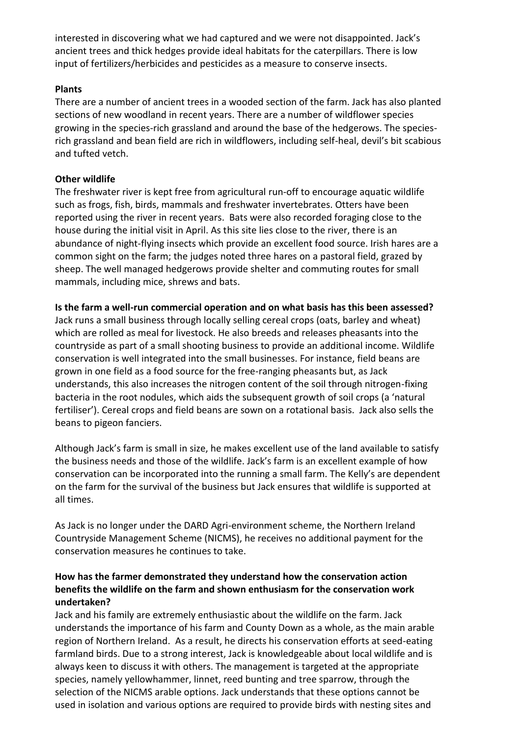interested in discovering what we had captured and we were not disappointed. Jack's ancient trees and thick hedges provide ideal habitats for the caterpillars. There is low input of fertilizers/herbicides and pesticides as a measure to conserve insects.

## **Plants**

There are a number of ancient trees in a wooded section of the farm. Jack has also planted sections of new woodland in recent years. There are a number of wildflower species growing in the species-rich grassland and around the base of the hedgerows. The speciesrich grassland and bean field are rich in wildflowers, including self-heal, devil's bit scabious and tufted vetch.

### **Other wildlife**

The freshwater river is kept free from agricultural run-off to encourage aquatic wildlife such as frogs, fish, birds, mammals and freshwater invertebrates. Otters have been reported using the river in recent years. Bats were also recorded foraging close to the house during the initial visit in April. As this site lies close to the river, there is an abundance of night-flying insects which provide an excellent food source. Irish hares are a common sight on the farm; the judges noted three hares on a pastoral field, grazed by sheep. The well managed hedgerows provide shelter and commuting routes for small mammals, including mice, shrews and bats.

**Is the farm a well-run commercial operation and on what basis has this been assessed?**  Jack runs a small business through locally selling cereal crops (oats, barley and wheat) which are rolled as meal for livestock. He also breeds and releases pheasants into the countryside as part of a small shooting business to provide an additional income. Wildlife conservation is well integrated into the small businesses. For instance, field beans are grown in one field as a food source for the free-ranging pheasants but, as Jack understands, this also increases the nitrogen content of the soil through nitrogen-fixing bacteria in the root nodules, which aids the subsequent growth of soil crops (a 'natural fertiliser'). Cereal crops and field beans are sown on a rotational basis. Jack also sells the beans to pigeon fanciers.

Although Jack's farm is small in size, he makes excellent use of the land available to satisfy the business needs and those of the wildlife. Jack's farm is an excellent example of how conservation can be incorporated into the running a small farm. The Kelly's are dependent on the farm for the survival of the business but Jack ensures that wildlife is supported at all times.

As Jack is no longer under the DARD Agri-environment scheme, the Northern Ireland Countryside Management Scheme (NICMS), he receives no additional payment for the conservation measures he continues to take.

## **How has the farmer demonstrated they understand how the conservation action benefits the wildlife on the farm and shown enthusiasm for the conservation work undertaken?**

Jack and his family are extremely enthusiastic about the wildlife on the farm. Jack understands the importance of his farm and County Down as a whole, as the main arable region of Northern Ireland. As a result, he directs his conservation efforts at seed-eating farmland birds. Due to a strong interest, Jack is knowledgeable about local wildlife and is always keen to discuss it with others. The management is targeted at the appropriate species, namely yellowhammer, linnet, reed bunting and tree sparrow, through the selection of the NICMS arable options. Jack understands that these options cannot be used in isolation and various options are required to provide birds with nesting sites and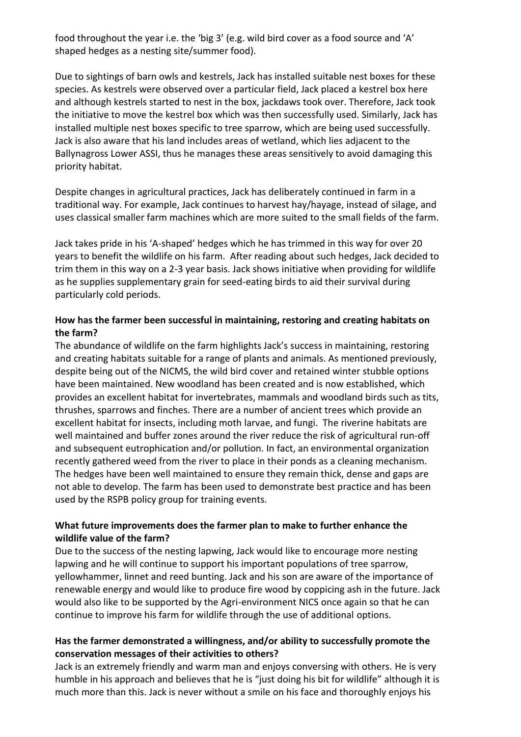food throughout the year i.e. the 'big 3' (e.g. wild bird cover as a food source and 'A' shaped hedges as a nesting site/summer food).

Due to sightings of barn owls and kestrels, Jack has installed suitable nest boxes for these species. As kestrels were observed over a particular field, Jack placed a kestrel box here and although kestrels started to nest in the box, jackdaws took over. Therefore, Jack took the initiative to move the kestrel box which was then successfully used. Similarly, Jack has installed multiple nest boxes specific to tree sparrow, which are being used successfully. Jack is also aware that his land includes areas of wetland, which lies adjacent to the Ballynagross Lower ASSI, thus he manages these areas sensitively to avoid damaging this priority habitat.

Despite changes in agricultural practices, Jack has deliberately continued in farm in a traditional way. For example, Jack continues to harvest hay/hayage, instead of silage, and uses classical smaller farm machines which are more suited to the small fields of the farm.

Jack takes pride in his 'A-shaped' hedges which he has trimmed in this way for over 20 years to benefit the wildlife on his farm. After reading about such hedges, Jack decided to trim them in this way on a 2-3 year basis. Jack shows initiative when providing for wildlife as he supplies supplementary grain for seed-eating birds to aid their survival during particularly cold periods.

## **How has the farmer been successful in maintaining, restoring and creating habitats on the farm?**

The abundance of wildlife on the farm highlights Jack's success in maintaining, restoring and creating habitats suitable for a range of plants and animals. As mentioned previously, despite being out of the NICMS, the wild bird cover and retained winter stubble options have been maintained. New woodland has been created and is now established, which provides an excellent habitat for invertebrates, mammals and woodland birds such as tits, thrushes, sparrows and finches. There are a number of ancient trees which provide an excellent habitat for insects, including moth larvae, and fungi. The riverine habitats are well maintained and buffer zones around the river reduce the risk of agricultural run-off and subsequent eutrophication and/or pollution. In fact, an environmental organization recently gathered weed from the river to place in their ponds as a cleaning mechanism. The hedges have been well maintained to ensure they remain thick, dense and gaps are not able to develop. The farm has been used to demonstrate best practice and has been used by the RSPB policy group for training events.

## **What future improvements does the farmer plan to make to further enhance the wildlife value of the farm?**

Due to the success of the nesting lapwing, Jack would like to encourage more nesting lapwing and he will continue to support his important populations of tree sparrow, yellowhammer, linnet and reed bunting. Jack and his son are aware of the importance of renewable energy and would like to produce fire wood by coppicing ash in the future. Jack would also like to be supported by the Agri-environment NICS once again so that he can continue to improve his farm for wildlife through the use of additional options.

## **Has the farmer demonstrated a willingness, and/or ability to successfully promote the conservation messages of their activities to others?**

Jack is an extremely friendly and warm man and enjoys conversing with others. He is very humble in his approach and believes that he is "just doing his bit for wildlife" although it is much more than this. Jack is never without a smile on his face and thoroughly enjoys his